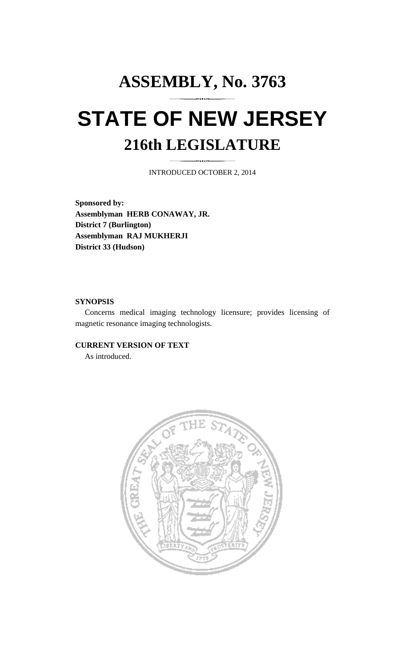# **ASSEMBLY, No. 3763 STATE OF NEW JERSEY 216th LEGISLATURE**

INTRODUCED OCTOBER 2, 2014

**Sponsored by: Assemblyman HERB CONAWAY, JR. District 7 (Burlington) Assemblyman RAJ MUKHERJI District 33 (Hudson)** 

#### **SYNOPSIS**

 Concerns medical imaging technology licensure; provides licensing of magnetic resonance imaging technologists.

## **CURRENT VERSION OF TEXT**

As introduced.

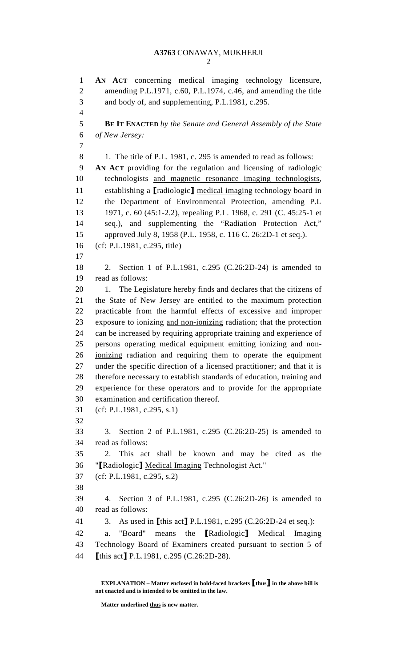2

1 **AN ACT** concerning medical imaging technology licensure, 2 amending P.L.1971, c.60, P.L.1974, c.46, and amending the title 3 and body of, and supplementing, P.L.1981, c.295. 4 5 **BE IT ENACTED** *by the Senate and General Assembly of the State*  6 *of New Jersey:* 7 8 1. The title of P.L. 1981, c. 295 is amended to read as follows: 9 **AN ACT** providing for the regulation and licensing of radiologic 10 technologists and magnetic resonance imaging technologists, 11 establishing a **[radiologic]** medical imaging technology board in 12 the Department of Environmental Protection, amending P.L 13 1971, c. 60 (45:1-2.2), repealing P.L. 1968, c. 291 (C. 45:25-1 et 14 seq.), and supplementing the "Radiation Protection Act," 15 approved July 8, 1958 (P.L. 1958, c. 116 C. 26:2D-1 et seq.). 16 (cf: P.L.1981, c.295, title) 17 18 2. Section 1 of P.L.1981, c.295 (C.26:2D-24) is amended to 19 read as follows: 20 1. The Legislature hereby finds and declares that the citizens of 21 the State of New Jersey are entitled to the maximum protection 22 practicable from the harmful effects of excessive and improper 23 exposure to ionizing and non-ionizing radiation; that the protection 24 can be increased by requiring appropriate training and experience of 25 persons operating medical equipment emitting ionizing and non-26 ionizing radiation and requiring them to operate the equipment 27 under the specific direction of a licensed practitioner; and that it is 28 therefore necessary to establish standards of education, training and 29 experience for these operators and to provide for the appropriate 30 examination and certification thereof. 31 (cf: P.L.1981, c.295, s.1) 32 33 3. Section 2 of P.L.1981, c.295 (C.26:2D-25) is amended to 34 read as follows: 35 2. This act shall be known and may be cited as the 36 "[Radiologic] Medical Imaging Technologist Act." 37 (cf: P.L.1981, c.295, s.2) 38 39 4. Section 3 of P.L.1981, c.295 (C.26:2D-26) is amended to 40 read as follows: 41 3. As used in [this act] P.L.1981, c.295 (C.26:2D-24 et seq.): 42 a. "Board" means the [Radiologic] Medical Imaging 43 Technology Board of Examiners created pursuant to section 5 of 44 [this act] P.L.1981, c.295 (C.26:2D-28).

 **EXPLANATION – Matter enclosed in bold-faced brackets** [**thus**] **in the above bill is not enacted and is intended to be omitted in the law.** 

 **Matter underlined thus is new matter.**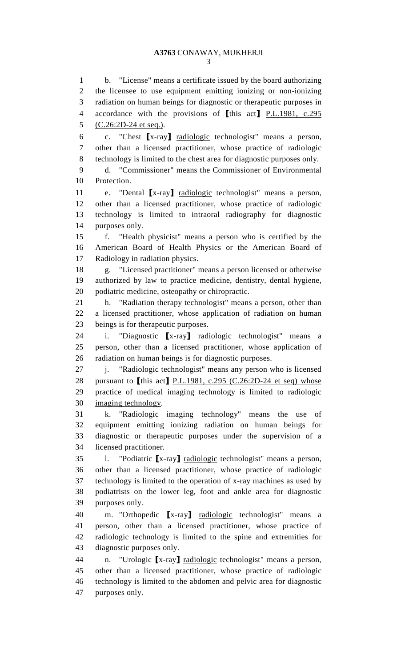1 b. "License" means a certificate issued by the board authorizing 2 the licensee to use equipment emitting ionizing or non-ionizing 3 radiation on human beings for diagnostic or therapeutic purposes in 4 accordance with the provisions of [this act] P.L.1981, c.295 5 (C.26:2D-24 et seq.). 6 c. "Chest [x-ray] radiologic technologist" means a person, 7 other than a licensed practitioner, whose practice of radiologic 8 technology is limited to the chest area for diagnostic purposes only. 9 d. "Commissioner" means the Commissioner of Environmental 10 Protection. 11 e. "Dental [x-ray] radiologic technologist" means a person, 12 other than a licensed practitioner, whose practice of radiologic 13 technology is limited to intraoral radiography for diagnostic 14 purposes only. 15 f. "Health physicist" means a person who is certified by the 16 American Board of Health Physics or the American Board of 17 Radiology in radiation physics. 18 g. "Licensed practitioner" means a person licensed or otherwise 19 authorized by law to practice medicine, dentistry, dental hygiene, 20 podiatric medicine, osteopathy or chiropractic. 21 h. "Radiation therapy technologist" means a person, other than 22 a licensed practitioner, whose application of radiation on human 23 beings is for therapeutic purposes. 24 i. "Diagnostic [x-ray] radiologic technologist" means a 25 person, other than a licensed practitioner, whose application of 26 radiation on human beings is for diagnostic purposes. 27 j. "Radiologic technologist" means any person who is licensed 28 pursuant to [this act] P.L.1981, c.295 (C.26:2D-24 et seq) whose 29 practice of medical imaging technology is limited to radiologic 30 imaging technology. 31 k. "Radiologic imaging technology" means the use of 32 equipment emitting ionizing radiation on human beings for 33 diagnostic or therapeutic purposes under the supervision of a 34 licensed practitioner. 35 l. "Podiatric [x-ray] radiologic technologist" means a person, 36 other than a licensed practitioner, whose practice of radiologic 37 technology is limited to the operation of x-ray machines as used by 38 podiatrists on the lower leg, foot and ankle area for diagnostic 39 purposes only. 40 m. "Orthopedic [x-ray] radiologic technologist" means a 41 person, other than a licensed practitioner, whose practice of 42 radiologic technology is limited to the spine and extremities for 43 diagnostic purposes only. 44 n. "Urologic [x-ray] radiologic technologist" means a person, 45 other than a licensed practitioner, whose practice of radiologic 46 technology is limited to the abdomen and pelvic area for diagnostic

47 purposes only.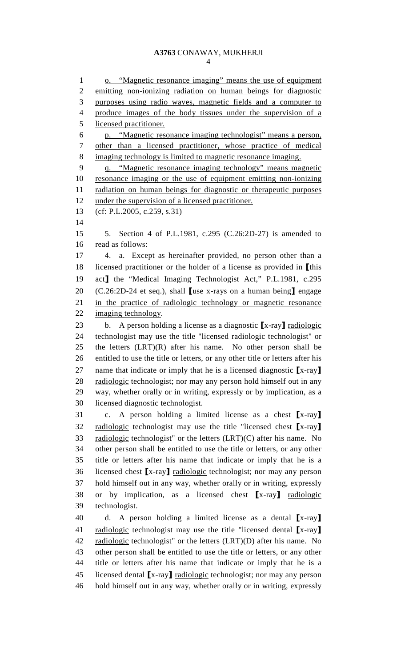4

1 o. "Magnetic resonance imaging" means the use of equipment 2 emitting non-ionizing radiation on human beings for diagnostic 3 purposes using radio waves, magnetic fields and a computer to 4 produce images of the body tissues under the supervision of a 5 licensed practitioner. 6 p. "Magnetic resonance imaging technologist" means a person, 7 other than a licensed practitioner, whose practice of medical 8 imaging technology is limited to magnetic resonance imaging. 9 q. "Magnetic resonance imaging technology" means magnetic 10 resonance imaging or the use of equipment emitting non-ionizing 11 radiation on human beings for diagnostic or therapeutic purposes 12 under the supervision of a licensed practitioner. 13 (cf: P.L.2005, c.259, s.31) 14 15 5. Section 4 of P.L.1981, c.295 (C.26:2D-27) is amended to 16 read as follows: 17 4. a. Except as hereinafter provided, no person other than a 18 licensed practitioner or the holder of a license as provided in [this 19 act] the "Medical Imaging Technologist Act," P.L.1981, c.295 20  $(C.26:2D-24$  et seq.), shall **[use x-rays on a human being]** engage 21 in the practice of radiologic technology or magnetic resonance 22 imaging technology. 23 b. A person holding a license as a diagnostic  $[x-ray]$  radiologic 24 technologist may use the title "licensed radiologic technologist" or 25 the letters  $(LRT)(R)$  after his name. No other person shall be 26 entitled to use the title or letters, or any other title or letters after his 27 name that indicate or imply that he is a licensed diagnostic [x-ray] 28 radiologic technologist; nor may any person hold himself out in any 29 way, whether orally or in writing, expressly or by implication, as a 30 licensed diagnostic technologist. 31 c. A person holding a limited license as a chest [x-ray] 32 radiologic technologist may use the title "licensed chest [x-ray] 33 radiologic technologist" or the letters (LRT)(C) after his name. No 34 other person shall be entitled to use the title or letters, or any other 35 title or letters after his name that indicate or imply that he is a 36 licensed chest [x-ray] radiologic technologist; nor may any person 37 hold himself out in any way, whether orally or in writing, expressly 38 or by implication, as a licensed chest [x-ray] radiologic 39 technologist. 40 d. A person holding a limited license as a dental [x-ray] 41 radiologic technologist may use the title "licensed dental [x-ray] 42 radiologic technologist" or the letters (LRT)(D) after his name. No 43 other person shall be entitled to use the title or letters, or any other 44 title or letters after his name that indicate or imply that he is a 45 licensed dental [x-ray] radiologic technologist; nor may any person 46 hold himself out in any way, whether orally or in writing, expressly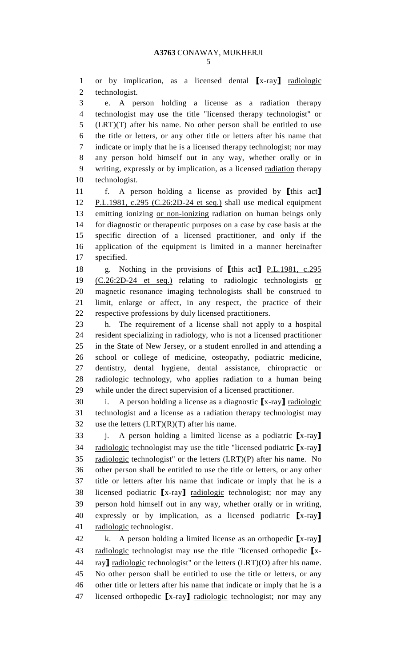1 or by implication, as a licensed dental [x-ray] radiologic 2 technologist.

3 e. A person holding a license as a radiation therapy 4 technologist may use the title "licensed therapy technologist" or 5 (LRT)(T) after his name. No other person shall be entitled to use 6 the title or letters, or any other title or letters after his name that 7 indicate or imply that he is a licensed therapy technologist; nor may 8 any person hold himself out in any way, whether orally or in 9 writing, expressly or by implication, as a licensed radiation therapy 10 technologist.

11 f. A person holding a license as provided by [this act] 12 P.L.1981, c.295 (C.26:2D-24 et seq.) shall use medical equipment 13 emitting ionizing or non-ionizing radiation on human beings only 14 for diagnostic or therapeutic purposes on a case by case basis at the 15 specific direction of a licensed practitioner, and only if the 16 application of the equipment is limited in a manner hereinafter 17 specified.

18 g. Nothing in the provisions of [this act] P.L.1981, c.295 19 (C.26:2D-24 et seq.) relating to radiologic technologists or 20 magnetic resonance imaging technologists shall be construed to 21 limit, enlarge or affect, in any respect, the practice of their 22 respective professions by duly licensed practitioners.

23 h. The requirement of a license shall not apply to a hospital 24 resident specializing in radiology, who is not a licensed practitioner 25 in the State of New Jersey, or a student enrolled in and attending a 26 school or college of medicine, osteopathy, podiatric medicine, 27 dentistry, dental hygiene, dental assistance, chiropractic or 28 radiologic technology, who applies radiation to a human being 29 while under the direct supervision of a licensed practitioner.

30 i. A person holding a license as a diagnostic  $[x-ray]$  radiologic 31 technologist and a license as a radiation therapy technologist may 32 use the letters  $(LRT)(R)(T)$  after his name.

 $33$  j. A person holding a limited license as a podiatric  $[x-ray]$ 34 radiologic technologist may use the title "licensed podiatric [x-ray]  $35$  radiologic technologist" or the letters  $(LRT)(P)$  after his name. No 36 other person shall be entitled to use the title or letters, or any other 37 title or letters after his name that indicate or imply that he is a 38 licensed podiatric [x-ray] radiologic technologist; nor may any 39 person hold himself out in any way, whether orally or in writing, 40 expressly or by implication, as a licensed podiatric [x-ray] 41 radiologic technologist.

42 k. A person holding a limited license as an orthopedic  $[x-ray]$ 43 radiologic technologist may use the title "licensed orthopedic  $\mathbf{r}$ x-44 ray] radiologic technologist" or the letters  $(LRT)(O)$  after his name. 45 No other person shall be entitled to use the title or letters, or any 46 other title or letters after his name that indicate or imply that he is a 47 licensed orthopedic [x-ray] radiologic technologist; nor may any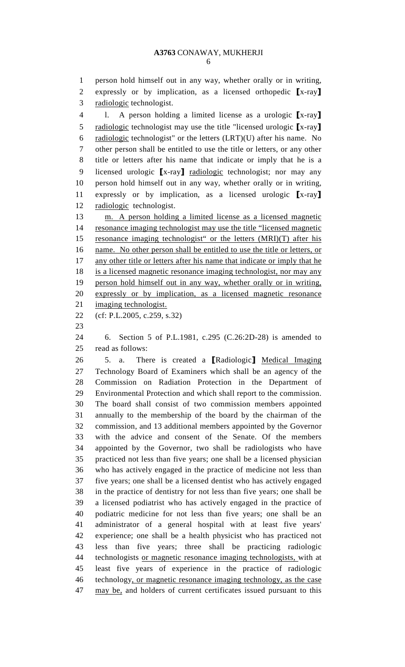6

1 person hold himself out in any way, whether orally or in writing, 2 expressly or by implication, as a licensed orthopedic [x-ray] 3 radiologic technologist.

4 l. A person holding a limited license as a urologic [x-ray] 5 radiologic technologist may use the title "licensed urologic [x-ray] 6 radiologic technologist" or the letters  $(LRT)(U)$  after his name. No 7 other person shall be entitled to use the title or letters, or any other 8 title or letters after his name that indicate or imply that he is a 9 licensed urologic [x-ray] radiologic technologist; nor may any 10 person hold himself out in any way, whether orally or in writing, 11 expressly or by implication, as a licensed urologic [x-ray] 12 radiologic technologist.

13 m. A person holding a limited license as a licensed magnetic 14 resonance imaging technologist may use the title "licensed magnetic 15 resonance imaging technologist" or the letters (MRI)(T) after his 16 name. No other person shall be entitled to use the title or letters, or 17 any other title or letters after his name that indicate or imply that he 18 is a licensed magnetic resonance imaging technologist, nor may any 19 person hold himself out in any way, whether orally or in writing, 20 expressly or by implication, as a licensed magnetic resonance 21 imaging technologist.

- 22 (cf: P.L.2005, c.259, s.32)
- 23

24 6. Section 5 of P.L.1981, c.295 (C.26:2D-28) is amended to 25 read as follows:

26 5. a. There is created a **[Radiologic]** Medical Imaging 27 Technology Board of Examiners which shall be an agency of the 28 Commission on Radiation Protection in the Department of 29 Environmental Protection and which shall report to the commission. 30 The board shall consist of two commission members appointed 31 annually to the membership of the board by the chairman of the 32 commission, and 13 additional members appointed by the Governor 33 with the advice and consent of the Senate. Of the members 34 appointed by the Governor, two shall be radiologists who have 35 practiced not less than five years; one shall be a licensed physician 36 who has actively engaged in the practice of medicine not less than 37 five years; one shall be a licensed dentist who has actively engaged 38 in the practice of dentistry for not less than five years; one shall be 39 a licensed podiatrist who has actively engaged in the practice of 40 podiatric medicine for not less than five years; one shall be an 41 administrator of a general hospital with at least five years' 42 experience; one shall be a health physicist who has practiced not 43 less than five years; three shall be practicing radiologic 44 technologists or magnetic resonance imaging technologists, with at 45 least five years of experience in the practice of radiologic 46 technology, or magnetic resonance imaging technology, as the case 47 may be, and holders of current certificates issued pursuant to this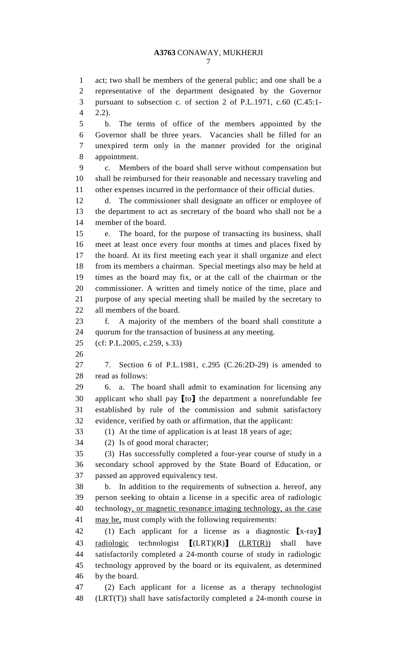7

1 act; two shall be members of the general public; and one shall be a 2 representative of the department designated by the Governor 3 pursuant to subsection c. of section 2 of P.L.1971, c.60 (C.45:1- 4 2.2).

5 b. The terms of office of the members appointed by the 6 Governor shall be three years. Vacancies shall be filled for an 7 unexpired term only in the manner provided for the original 8 appointment.

9 c. Members of the board shall serve without compensation but 10 shall be reimbursed for their reasonable and necessary traveling and 11 other expenses incurred in the performance of their official duties.

12 d. The commissioner shall designate an officer or employee of 13 the department to act as secretary of the board who shall not be a 14 member of the board.

15 e. The board, for the purpose of transacting its business, shall 16 meet at least once every four months at times and places fixed by 17 the board. At its first meeting each year it shall organize and elect 18 from its members a chairman. Special meetings also may be held at 19 times as the board may fix, or at the call of the chairman or the 20 commissioner. A written and timely notice of the time, place and 21 purpose of any special meeting shall be mailed by the secretary to 22 all members of the board.

23 f. A majority of the members of the board shall constitute a 24 quorum for the transaction of business at any meeting.

25 (cf: P.L.2005, c.259, s.33)

26

27 7. Section 6 of P.L.1981, c.295 (C.26:2D-29) is amended to 28 read as follows:

29 6. a. The board shall admit to examination for licensing any 30 applicant who shall pay [to] the department a nonrefundable fee 31 established by rule of the commission and submit satisfactory 32 evidence, verified by oath or affirmation, that the applicant:

33 (1) At the time of application is at least 18 years of age;

34 (2) Is of good moral character;

35 (3) Has successfully completed a four-year course of study in a 36 secondary school approved by the State Board of Education, or 37 passed an approved equivalency test.

38 b. In addition to the requirements of subsection a. hereof, any 39 person seeking to obtain a license in a specific area of radiologic 40 technology, or magnetic resonance imaging technology, as the case 41 may be, must comply with the following requirements:

42 (1) Each applicant for a license as a diagnostic [x-ray] 43 radiologic technologist  $[(LRT)(R)]$   $(LRT(R))$  shall have 44 satisfactorily completed a 24-month course of study in radiologic 45 technology approved by the board or its equivalent, as determined 46 by the board.

47 (2) Each applicant for a license as a therapy technologist 48 (LRT(T)) shall have satisfactorily completed a 24-month course in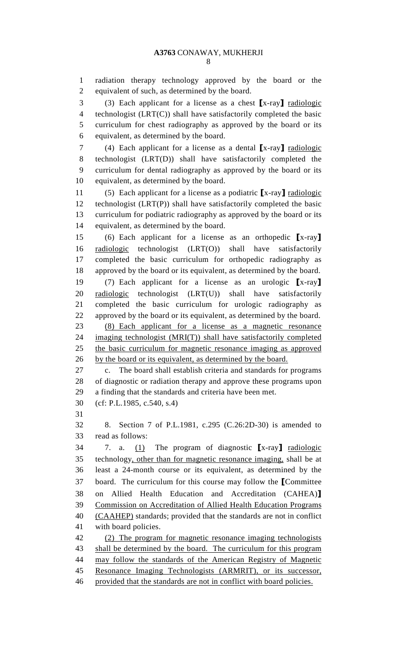1 radiation therapy technology approved by the board or the 2 equivalent of such, as determined by the board.

3 (3) Each applicant for a license as a chest [x-ray] radiologic 4 technologist (LRT(C)) shall have satisfactorily completed the basic 5 curriculum for chest radiography as approved by the board or its 6 equivalent, as determined by the board.

7 (4) Each applicant for a license as a dental [x-ray] radiologic 8 technologist (LRT(D)) shall have satisfactorily completed the 9 curriculum for dental radiography as approved by the board or its 10 equivalent, as determined by the board.

11 (5) Each applicant for a license as a podiatric  $[x-ray]$  <u>radiologic</u> 12 technologist  $(LRT(P))$  shall have satisfactorily completed the basic 13 curriculum for podiatric radiography as approved by the board or its 14 equivalent, as determined by the board.

15 (6) Each applicant for a license as an orthopedic [x-ray] 16 radiologic technologist (LRT(O)) shall have satisfactorily 17 completed the basic curriculum for orthopedic radiography as 18 approved by the board or its equivalent, as determined by the board. 19 (7) Each applicant for a license as an urologic [x-ray] 20 radiologic technologist (LRT(U)) shall have satisfactorily 21 completed the basic curriculum for urologic radiography as 22 approved by the board or its equivalent, as determined by the board. 23 (8) Each applicant for a license as a magnetic resonance 24 imaging technologist (MRI(T)) shall have satisfactorily completed 25 the basic curriculum for magnetic resonance imaging as approved

26 by the board or its equivalent, as determined by the board.

27 c. The board shall establish criteria and standards for programs 28 of diagnostic or radiation therapy and approve these programs upon 29 a finding that the standards and criteria have been met.

30 (cf: P.L.1985, c.540, s.4)

31

32 8. Section 7 of P.L.1981, c.295 (C.26:2D-30) is amended to 33 read as follows:

34 7. a. (1) The program of diagnostic [x-ray] radiologic 35 technology, other than for magnetic resonance imaging, shall be at 36 least a 24-month course or its equivalent, as determined by the 37 board. The curriculum for this course may follow the [Committee 38 on Allied Health Education and Accreditation (CAHEA)] 39 Commission on Accreditation of Allied Health Education Programs 40 (CAAHEP) standards; provided that the standards are not in conflict 41 with board policies.

42 (2) The program for magnetic resonance imaging technologists 43 shall be determined by the board. The curriculum for this program 44 may follow the standards of the American Registry of Magnetic 45 Resonance Imaging Technologists (ARMRIT), or its successor, 46 provided that the standards are not in conflict with board policies.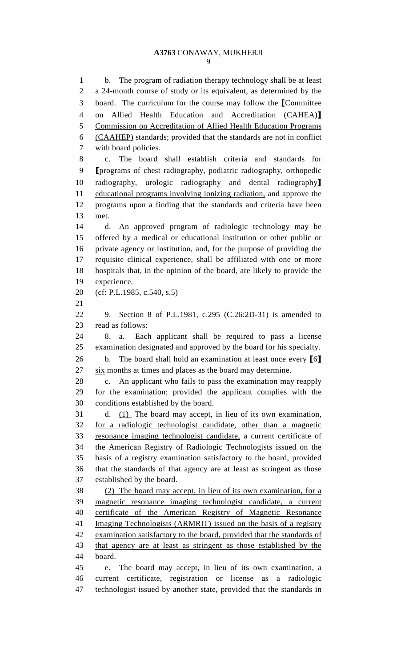1 b. The program of radiation therapy technology shall be at least 2 a 24-month course of study or its equivalent, as determined by the 3 board. The curriculum for the course may follow the [Committee 4 on Allied Health Education and Accreditation (CAHEA)] 5 Commission on Accreditation of Allied Health Education Programs 6 (CAAHEP) standards; provided that the standards are not in conflict 7 with board policies. 8 c. The board shall establish criteria and standards for 9 [programs of chest radiography, podiatric radiography, orthopedic 10 radiography, urologic radiography and dental radiography] 11 educational programs involving ionizing radiation, and approve the 12 programs upon a finding that the standards and criteria have been 13 met. 14 d. An approved program of radiologic technology may be 15 offered by a medical or educational institution or other public or 16 private agency or institution, and, for the purpose of providing the 17 requisite clinical experience, shall be affiliated with one or more 18 hospitals that, in the opinion of the board, are likely to provide the 19 experience. 20 (cf: P.L.1985, c.540, s.5) 21 22 9. Section 8 of P.L.1981, c.295 (C.26:2D-31) is amended to 23 read as follows: 24 8. a. Each applicant shall be required to pass a license 25 examination designated and approved by the board for his specialty. 26 b. The board shall hold an examination at least once every [6] 27 six months at times and places as the board may determine. 28 c. An applicant who fails to pass the examination may reapply 29 for the examination; provided the applicant complies with the 30 conditions established by the board. 31 d. (1) The board may accept, in lieu of its own examination, 32 for a radiologic technologist candidate, other than a magnetic 33 resonance imaging technologist candidate, a current certificate of 34 the American Registry of Radiologic Technologists issued on the 35 basis of a registry examination satisfactory to the board, provided 36 that the standards of that agency are at least as stringent as those 37 established by the board. 38 (2) The board may accept, in lieu of its own examination, for a 39 magnetic resonance imaging technologist candidate, a current 40 certificate of the American Registry of Magnetic Resonance 41 Imaging Technologists (ARMRIT) issued on the basis of a registry 42 examination satisfactory to the board, provided that the standards of 43 that agency are at least as stringent as those established by the 44 board. 45 e. The board may accept, in lieu of its own examination, a 46 current certificate, registration or license as a radiologic

47 technologist issued by another state, provided that the standards in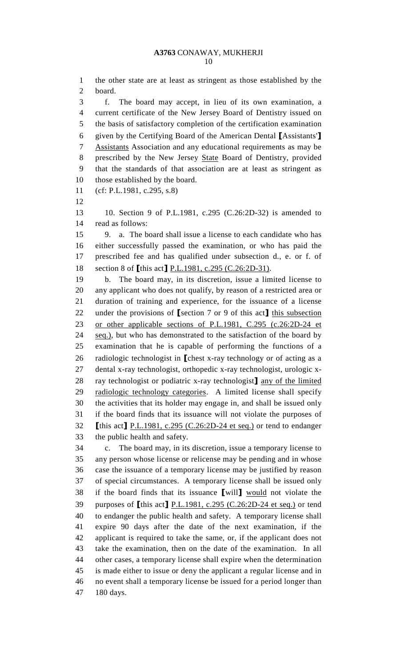1 the other state are at least as stringent as those established by the 2 board.

3 f. The board may accept, in lieu of its own examination, a 4 current certificate of the New Jersey Board of Dentistry issued on 5 the basis of satisfactory completion of the certification examination 6 given by the Certifying Board of the American Dental [Assistants'] 7 Assistants Association and any educational requirements as may be 8 prescribed by the New Jersey State Board of Dentistry, provided 9 that the standards of that association are at least as stringent as 10 those established by the board.

- 11 (cf: P.L.1981, c.295, s.8)
- 12

13 10. Section 9 of P.L.1981, c.295 (C.26:2D-32) is amended to 14 read as follows:

15 9. a. The board shall issue a license to each candidate who has 16 either successfully passed the examination, or who has paid the 17 prescribed fee and has qualified under subsection d., e. or f. of 18 section 8 of [this act] P.L.1981, c.295 (C.26:2D-31).

19 b. The board may, in its discretion, issue a limited license to 20 any applicant who does not qualify, by reason of a restricted area or 21 duration of training and experience, for the issuance of a license 22 under the provisions of [section 7 or 9 of this act] this subsection 23 or other applicable sections of P.L.1981, C.295 (c.26:2D-24 et 24 seq.), but who has demonstrated to the satisfaction of the board by 25 examination that he is capable of performing the functions of a 26 radiologic technologist in [chest x-ray technology or of acting as a 27 dental x-ray technologist, orthopedic x-ray technologist, urologic x-28 ray technologist or podiatric x-ray technologist] any of the limited 29 radiologic technology categories. A limited license shall specify 30 the activities that its holder may engage in, and shall be issued only 31 if the board finds that its issuance will not violate the purposes of 32 [this act] P.L.1981, c.295 (C.26:2D-24 et seq.) or tend to endanger 33 the public health and safety.

34 c. The board may, in its discretion, issue a temporary license to 35 any person whose license or relicense may be pending and in whose 36 case the issuance of a temporary license may be justified by reason 37 of special circumstances. A temporary license shall be issued only 38 if the board finds that its issuance [will] would not violate the 39 purposes of [this act] P.L.1981, c.295 (C.26:2D-24 et seq.) or tend 40 to endanger the public health and safety. A temporary license shall 41 expire 90 days after the date of the next examination, if the 42 applicant is required to take the same, or, if the applicant does not 43 take the examination, then on the date of the examination. In all 44 other cases, a temporary license shall expire when the determination 45 is made either to issue or deny the applicant a regular license and in 46 no event shall a temporary license be issued for a period longer than 47 180 days.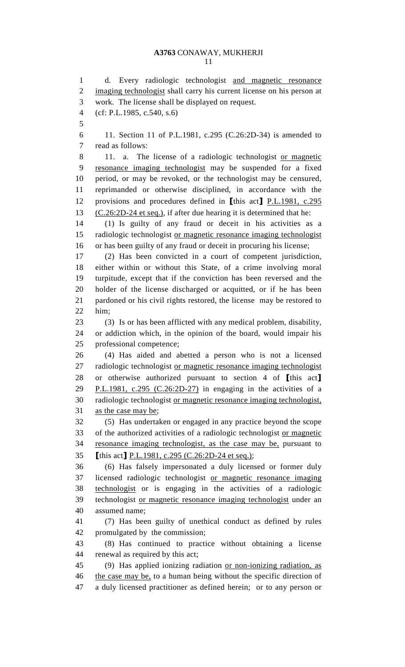1 d. Every radiologic technologist and magnetic resonance 2 imaging technologist shall carry his current license on his person at 3 work. The license shall be displayed on request. 4 (cf: P.L.1985, c.540, s.6) 5 6 11. Section 11 of P.L.1981, c.295 (C.26:2D-34) is amended to 7 read as follows: 8 11. a. The license of a radiologic technologist or magnetic 9 resonance imaging technologist may be suspended for a fixed 10 period, or may be revoked, or the technologist may be censured, 11 reprimanded or otherwise disciplined, in accordance with the 12 provisions and procedures defined in [this act] P.L.1981, c.295 13 (C.26:2D-24 et seq.), if after due hearing it is determined that he: 14 (1) Is guilty of any fraud or deceit in his activities as a 15 radiologic technologist or magnetic resonance imaging technologist 16 or has been guilty of any fraud or deceit in procuring his license; 17 (2) Has been convicted in a court of competent jurisdiction, 18 either within or without this State, of a crime involving moral 19 turpitude, except that if the conviction has been reversed and the 20 holder of the license discharged or acquitted, or if he has been 21 pardoned or his civil rights restored, the license may be restored to 22 him; 23 (3) Is or has been afflicted with any medical problem, disability, 24 or addiction which, in the opinion of the board, would impair his 25 professional competence; 26 (4) Has aided and abetted a person who is not a licensed 27 radiologic technologist or magnetic resonance imaging technologist 28 or otherwise authorized pursuant to section 4 of [this act] 29 P.L.1981, c.295 (C.26:2D-27) in engaging in the activities of a 30 radiologic technologist or magnetic resonance imaging technologist, 31 as the case may be; 32 (5) Has undertaken or engaged in any practice beyond the scope 33 of the authorized activities of a radiologic technologist or magnetic 34 resonance imaging technologist, as the case may be, pursuant to 35 [this act] P.L.1981, c.295 (C.26:2D-24 et seq.); 36 (6) Has falsely impersonated a duly licensed or former duly 37 licensed radiologic technologist or magnetic resonance imaging 38 technologist or is engaging in the activities of a radiologic 39 technologist or magnetic resonance imaging technologist under an 40 assumed name; 41 (7) Has been guilty of unethical conduct as defined by rules 42 promulgated by the commission; 43 (8) Has continued to practice without obtaining a license 44 renewal as required by this act; 45 (9) Has applied ionizing radiation or non-ionizing radiation, as 46 the case may be, to a human being without the specific direction of 47 a duly licensed practitioner as defined herein; or to any person or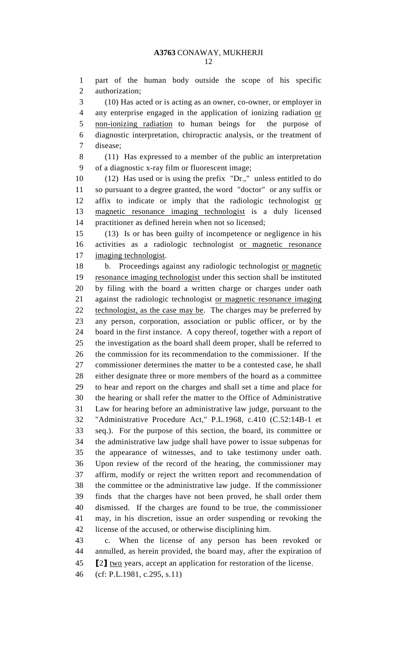1 part of the human body outside the scope of his specific 2 authorization;

3 (10) Has acted or is acting as an owner, co-owner, or employer in 4 any enterprise engaged in the application of ionizing radiation or 5 non-ionizing radiation to human beings for the purpose of 6 diagnostic interpretation, chiropractic analysis, or the treatment of 7 disease;

8 (11) Has expressed to a member of the public an interpretation 9 of a diagnostic x-ray film or fluorescent image;

10 (12) Has used or is using the prefix "Dr.," unless entitled to do 11 so pursuant to a degree granted, the word "doctor" or any suffix or 12 affix to indicate or imply that the radiologic technologist or 13 magnetic resonance imaging technologist is a duly licensed 14 practitioner as defined herein when not so licensed;

15 (13) Is or has been guilty of incompetence or negligence in his 16 activities as a radiologic technologist or magnetic resonance 17 imaging technologist.

18 b. Proceedings against any radiologic technologist or magnetic 19 resonance imaging technologist under this section shall be instituted 20 by filing with the board a written charge or charges under oath 21 against the radiologic technologist or magnetic resonance imaging 22 technologist, as the case may be. The charges may be preferred by 23 any person, corporation, association or public officer, or by the 24 board in the first instance. A copy thereof, together with a report of 25 the investigation as the board shall deem proper, shall be referred to 26 the commission for its recommendation to the commissioner. If the 27 commissioner determines the matter to be a contested case, he shall 28 either designate three or more members of the board as a committee 29 to hear and report on the charges and shall set a time and place for 30 the hearing or shall refer the matter to the Office of Administrative 31 Law for hearing before an administrative law judge, pursuant to the 32 "Administrative Procedure Act," P.L.1968, c.410 (C.52:14B-1 et 33 seq.). For the purpose of this section, the board, its committee or 34 the administrative law judge shall have power to issue subpenas for 35 the appearance of witnesses, and to take testimony under oath. 36 Upon review of the record of the hearing, the commissioner may 37 affirm, modify or reject the written report and recommendation of 38 the committee or the administrative law judge. If the commissioner 39 finds that the charges have not been proved, he shall order them 40 dismissed. If the charges are found to be true, the commissioner 41 may, in his discretion, issue an order suspending or revoking the 42 license of the accused, or otherwise disciplining him.

43 c. When the license of any person has been revoked or 44 annulled, as herein provided, the board may, after the expiration of 45 [2] two years, accept an application for restoration of the license.

46 (cf: P.L.1981, c.295, s.11)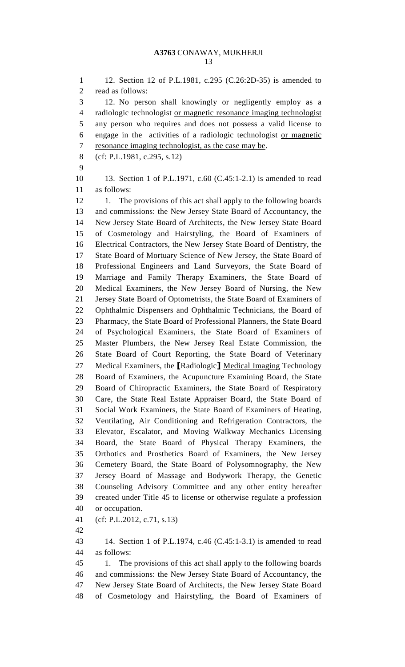1 12. Section 12 of P.L.1981, c.295 (C.26:2D-35) is amended to 2 read as follows: 3 12. No person shall knowingly or negligently employ as a 4 radiologic technologist or magnetic resonance imaging technologist 5 any person who requires and does not possess a valid license to 6 engage in the activities of a radiologic technologist or magnetic 7 resonance imaging technologist, as the case may be. 8 (cf: P.L.1981, c.295, s.12) 9 10 13. Section 1 of P.L.1971, c.60 (C.45:1-2.1) is amended to read 11 as follows: 12 1. The provisions of this act shall apply to the following boards 13 and commissions: the New Jersey State Board of Accountancy, the 14 New Jersey State Board of Architects, the New Jersey State Board 15 of Cosmetology and Hairstyling, the Board of Examiners of 16 Electrical Contractors, the New Jersey State Board of Dentistry, the 17 State Board of Mortuary Science of New Jersey, the State Board of 18 Professional Engineers and Land Surveyors, the State Board of 19 Marriage and Family Therapy Examiners, the State Board of 20 Medical Examiners, the New Jersey Board of Nursing, the New 21 Jersey State Board of Optometrists, the State Board of Examiners of 22 Ophthalmic Dispensers and Ophthalmic Technicians, the Board of 23 Pharmacy, the State Board of Professional Planners, the State Board 24 of Psychological Examiners, the State Board of Examiners of 25 Master Plumbers, the New Jersey Real Estate Commission, the 26 State Board of Court Reporting, the State Board of Veterinary 27 Medical Examiners, the [Radiologic] Medical Imaging Technology 28 Board of Examiners, the Acupuncture Examining Board, the State 29 Board of Chiropractic Examiners, the State Board of Respiratory 30 Care, the State Real Estate Appraiser Board, the State Board of 31 Social Work Examiners, the State Board of Examiners of Heating, 32 Ventilating, Air Conditioning and Refrigeration Contractors, the 33 Elevator, Escalator, and Moving Walkway Mechanics Licensing 34 Board, the State Board of Physical Therapy Examiners, the 35 Orthotics and Prosthetics Board of Examiners, the New Jersey 36 Cemetery Board, the State Board of Polysomnography, the New 37 Jersey Board of Massage and Bodywork Therapy, the Genetic 38 Counseling Advisory Committee and any other entity hereafter 39 created under Title 45 to license or otherwise regulate a profession 40 or occupation. 41 (cf: P.L.2012, c.71, s.13) 42

43 14. Section 1 of P.L.1974, c.46 (C.45:1-3.1) is amended to read 44 as follows: 45 1. The provisions of this act shall apply to the following boards

46 and commissions: the New Jersey State Board of Accountancy, the 47 New Jersey State Board of Architects, the New Jersey State Board 48 of Cosmetology and Hairstyling, the Board of Examiners of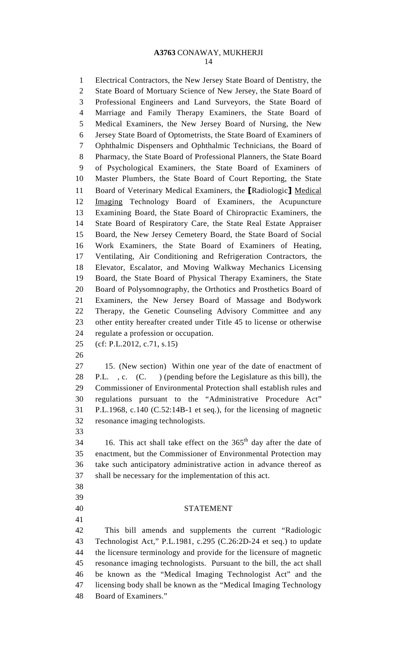1 Electrical Contractors, the New Jersey State Board of Dentistry, the 2 State Board of Mortuary Science of New Jersey, the State Board of 3 Professional Engineers and Land Surveyors, the State Board of 4 Marriage and Family Therapy Examiners, the State Board of 5 Medical Examiners, the New Jersey Board of Nursing, the New 6 Jersey State Board of Optometrists, the State Board of Examiners of 7 Ophthalmic Dispensers and Ophthalmic Technicians, the Board of 8 Pharmacy, the State Board of Professional Planners, the State Board 9 of Psychological Examiners, the State Board of Examiners of 10 Master Plumbers, the State Board of Court Reporting, the State 11 Board of Veterinary Medical Examiners, the [Radiologic] Medical 12 Imaging Technology Board of Examiners, the Acupuncture 13 Examining Board, the State Board of Chiropractic Examiners, the 14 State Board of Respiratory Care, the State Real Estate Appraiser 15 Board, the New Jersey Cemetery Board, the State Board of Social 16 Work Examiners, the State Board of Examiners of Heating, 17 Ventilating, Air Conditioning and Refrigeration Contractors, the 18 Elevator, Escalator, and Moving Walkway Mechanics Licensing 19 Board, the State Board of Physical Therapy Examiners, the State 20 Board of Polysomnography, the Orthotics and Prosthetics Board of 21 Examiners, the New Jersey Board of Massage and Bodywork 22 Therapy, the Genetic Counseling Advisory Committee and any 23 other entity hereafter created under Title 45 to license or otherwise 24 regulate a profession or occupation. 25 (cf: P.L.2012, c.71, s.15) 26

27 15. (New section) Within one year of the date of enactment of 28 P.L. , c. (C. ) (pending before the Legislature as this bill), the 29 Commissioner of Environmental Protection shall establish rules and 30 regulations pursuant to the "Administrative Procedure Act" 31 P.L.1968, c.140 (C.52:14B-1 et seq.), for the licensing of magnetic 32 resonance imaging technologists.

33

34 16. This act shall take effect on the  $365<sup>th</sup>$  day after the date of 35 enactment, but the Commissioner of Environmental Protection may 36 take such anticipatory administrative action in advance thereof as 37 shall be necessary for the implementation of this act.

- 38
- 39
- 41

### 40 STATEMENT

42 This bill amends and supplements the current "Radiologic 43 Technologist Act," P.L.1981, c.295 (C.26:2D-24 et seq.) to update 44 the licensure terminology and provide for the licensure of magnetic 45 resonance imaging technologists. Pursuant to the bill, the act shall 46 be known as the "Medical Imaging Technologist Act" and the 47 licensing body shall be known as the "Medical Imaging Technology 48 Board of Examiners."